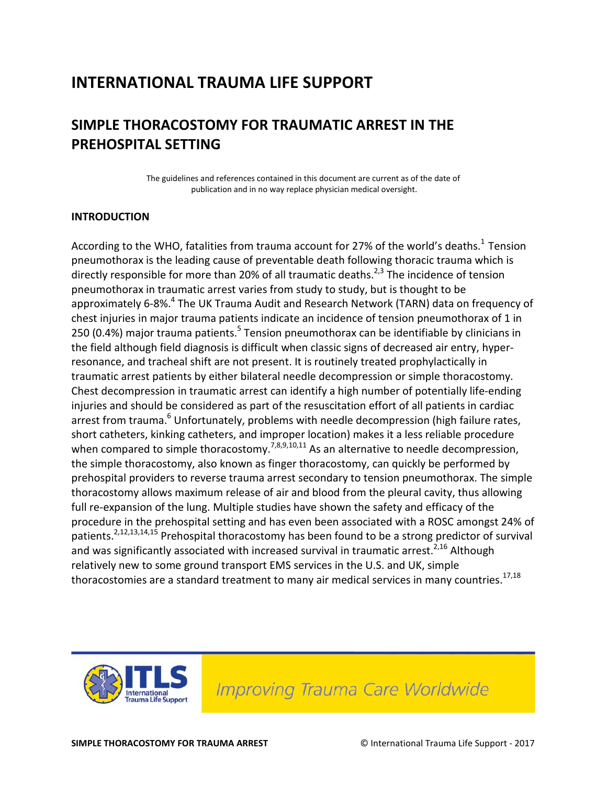## **INTERNATIONAL TRAUMA LIFE SUPPORT**

### **SIMPLE THORACOSTOMY FOR TRAUMATIC ARREST IN THE PREHOSPITAL SETTING**

The guidelines and references contained in this document are current as of the date of publication and in no way replace physician medical oversight.

#### **INTRODUCTION**

According to the WHO, fatalities from trauma account for 27% of the world's deaths.<sup>1</sup> Tension pneumothorax is the leading cause of preventable death following thoracic trauma which is directly responsible for more than 20% of all traumatic deaths.<sup>2,3</sup> The incidence of tension pneumothorax in traumatic arrest varies from study to study, but is thought to be approximately 6-8%.<sup>4</sup> The UK Trauma Audit and Research Network (TARN) data on frequency of chest injuries in major trauma patients indicate an incidence of tension pneumothorax of 1 in 250 (0.4%) major trauma patients.<sup>5</sup> Tension pneumothorax can be identifiable by clinicians in the field although field diagnosis is difficult when classic signs of decreased air entry, hyperresonance, and tracheal shift are not present. It is routinely treated prophylactically in traumatic arrest patients by either bilateral needle decompression or simple thoracostomy. Chest decompression in traumatic arrest can identify a high number of potentially life-ending injuries and should be considered as part of the resuscitation effort of all patients in cardiac arrest from trauma.<sup>6</sup> Unfortunately, problems with needle decompression (high failure rates, short catheters, kinking catheters, and improper location) makes it a less reliable procedure when compared to simple thoracostomy.<sup>7,8,9,10,11</sup> As an alternative to needle decompression, the simple thoracostomy, also known as finger thoracostomy, can quickly be performed by prehospital providers to reverse trauma arrest secondary to tension pneumothorax. The simple thoracostomy allows maximum release of air and blood from the pleural cavity, thus allowing full re-expansion of the lung. Multiple studies have shown the safety and efficacy of the procedure in the prehospital setting and has even been associated with a ROSC amongst 24% of patients.<sup>2,12,13,14,15</sup> Prehospital thoracostomy has been found to be a strong predictor of survival and was significantly associated with increased survival in traumatic arrest.<sup>2,16</sup> Although relatively new to some ground transport EMS services in the U.S. and UK, simple thoracostomies are a standard treatment to many air medical services in many countries.<sup>17,18</sup>

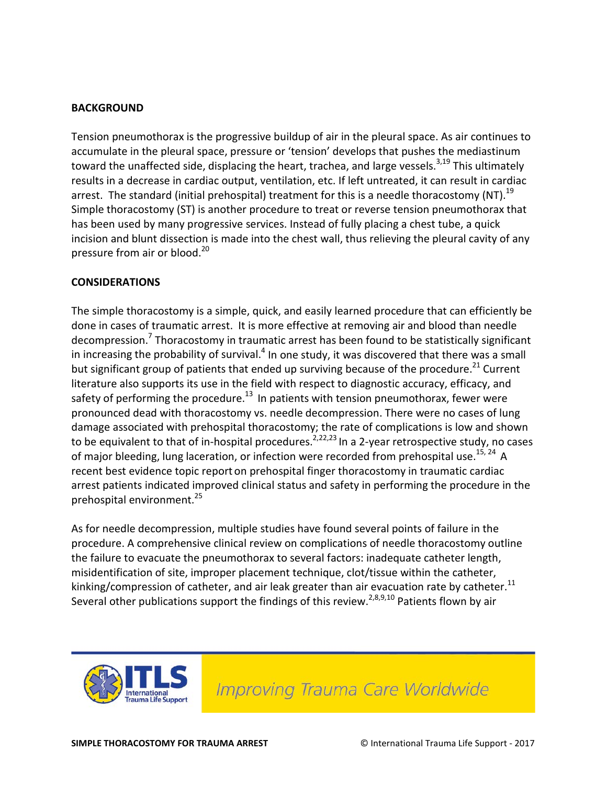#### **BACKGROUND**

Tension pneumothorax is the progressive buildup of air in the pleural space. As air continues to accumulate in the pleural space, pressure or 'tension' develops that pushes the mediastinum toward the unaffected side, displacing the heart, trachea, and large vessels.<sup>3,19</sup> This ultimately results in a decrease in cardiac output, ventilation, etc. If left untreated, it can result in cardiac arrest. The standard (initial prehospital) treatment for this is a needle thoracostomy (NT).<sup>19</sup> Simple thoracostomy (ST) is another procedure to treat or reverse tension pneumothorax that has been used by many progressive services. Instead of fully placing a chest tube, a quick incision and blunt dissection is made into the chest wall, thus relieving the pleural cavity of any pressure from air or blood. 20

#### **CONSIDERATIONS**

The simple thoracostomy is a simple, quick, and easily learned procedure that can efficiently be done in cases of traumatic arrest. It is more effective at removing air and blood than needle decompression.<sup>7</sup> Thoracostomy in traumatic arrest has been found to be statistically significant in increasing the probability of survival.<sup>4</sup> In one study, it was discovered that there was a small but significant group of patients that ended up surviving because of the procedure.<sup>21</sup> Current literature also supports its use in the field with respect to diagnostic accuracy, efficacy, and safety of performing the procedure.<sup>13</sup> In patients with tension pneumothorax, fewer were pronounced dead with thoracostomy vs. needle decompression. There were no cases of lung damage associated with prehospital thoracostomy; the rate of complications is low and shown to be equivalent to that of in-hospital procedures.<sup>2,22,23</sup> In a 2-year retrospective study, no cases of major bleeding, lung laceration, or infection were recorded from prehospital use.<sup>15, 24</sup> A recent best evidence topic report on prehospital finger thoracostomy in traumatic cardiac arrest patients indicated improved clinical status and safety in performing the procedure in the prehospital environment. 25

As for needle decompression, multiple studies have found several points of failure in the procedure. A comprehensive clinical review on complications of needle thoracostomy outline the failure to evacuate the pneumothorax to several factors: inadequate catheter length, misidentification of site, improper placement technique, clot/tissue within the catheter, kinking/compression of catheter, and air leak greater than air evacuation rate by catheter.<sup>11</sup> Several other publications support the findings of this review.<sup>2,8,9,10</sup> Patients flown by air

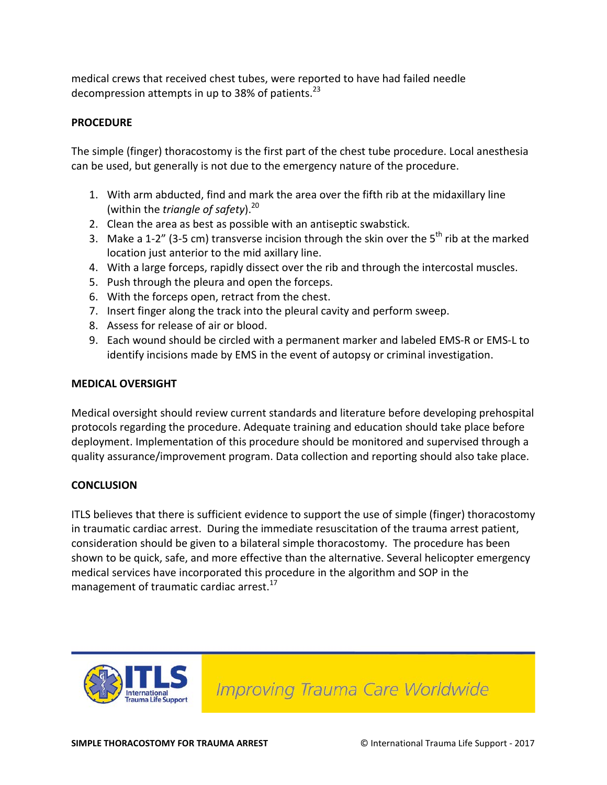medical crews that received chest tubes, were reported to have had failed needle decompression attempts in up to 38% of patients.<sup>23</sup>

#### **PROCEDURE**

The simple (finger) thoracostomy is the first part of the chest tube procedure. Local anesthesia can be used, but generally is not due to the emergency nature of the procedure.

- 1. With arm abducted, find and mark the area over the fifth rib at the midaxillary line (within the *triangle of safety*). 20
- 2. Clean the area as best as possible with an antiseptic swabstick.
- 3. Make a 1-2" (3-5 cm) transverse incision through the skin over the  $5^{th}$  rib at the marked location just anterior to the mid axillary line.
- 4. With a large forceps, rapidly dissect over the rib and through the intercostal muscles.
- 5. Push through the pleura and open the forceps.
- 6. With the forceps open, retract from the chest.
- 7. Insert finger along the track into the pleural cavity and perform sweep.
- 8. Assess for release of air or blood.
- 9. Each wound should be circled with a permanent marker and labeled EMS-R or EMS-L to identify incisions made by EMS in the event of autopsy or criminal investigation.

#### **MEDICAL OVERSIGHT**

Medical oversight should review current standards and literature before developing prehospital protocols regarding the procedure. Adequate training and education should take place before deployment. Implementation of this procedure should be monitored and supervised through a quality assurance/improvement program. Data collection and reporting should also take place.

#### **CONCLUSION**

ITLS believes that there is sufficient evidence to support the use of simple (finger) thoracostomy in traumatic cardiac arrest. During the immediate resuscitation of the trauma arrest patient, consideration should be given to a bilateral simple thoracostomy. The procedure has been shown to be quick, safe, and more effective than the alternative. Several helicopter emergency medical services have incorporated this procedure in the algorithm and SOP in the management of traumatic cardiac arrest.<sup>17</sup>

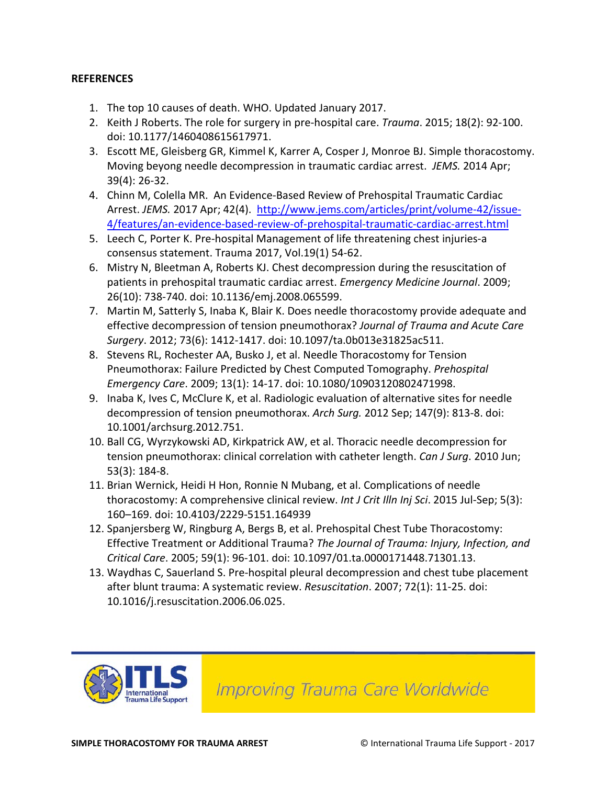#### **REFERENCES**

- 1. The top 10 causes of death. WHO. Updated January 2017.
- 2. Keith J Roberts. The role for surgery in pre-hospital care. *Trauma*. 2015; 18(2): 92-100. doi: 10.1177/1460408615617971.
- 3. Escott ME, Gleisberg GR, Kimmel K, Karrer A, Cosper J, Monroe BJ. Simple thoracostomy. Moving beyong needle decompression in traumatic cardiac arrest. *JEMS.* 2014 Apr; 39(4): 26-32.
- 4. Chinn M, Colella MR. An Evidence-Based Review of Prehospital Traumatic Cardiac Arrest. JEMS. 2017 Apr; 42(4). [http://www.jems.com/articles/print/volume-42/issue-](http://www.jems.com/articles/print/volume-42/issue-4/features/an-evidence-based-review-of-prehospital-traumatic-cardiac-arrest.html)[4/features/an-evidence-based-review-of-prehospital-traumatic-cardiac-arrest.html](http://www.jems.com/articles/print/volume-42/issue-4/features/an-evidence-based-review-of-prehospital-traumatic-cardiac-arrest.html)
- 5. Leech C, Porter K. Pre-hospital Management of life threatening chest injuries-a consensus statement. Trauma 2017, Vol.19(1) 54-62.
- 6. Mistry N, Bleetman A, Roberts KJ. Chest decompression during the resuscitation of patients in prehospital traumatic cardiac arrest. *Emergency Medicine Journal*. 2009; 26(10): 738-740. doi: 10.1136/emj.2008.065599.
- 7. Martin M, Satterly S, Inaba K, Blair K. Does needle thoracostomy provide adequate and effective decompression of tension pneumothorax? *Journal of Trauma and Acute Care Surgery*. 2012; 73(6): 1412-1417. doi: 10.1097/ta.0b013e31825ac511.
- 8. Stevens RL, Rochester AA, Busko J, et al. Needle Thoracostomy for Tension Pneumothorax: Failure Predicted by Chest Computed Tomography. *Prehospital Emergency Care*. 2009; 13(1): 14-17. doi: 10.1080/10903120802471998.
- 9. Inaba K, Ives C, McClure K, et al. Radiologic evaluation of alternative sites for needle decompression of tension pneumothorax. *Arch Surg.* 2012 Sep; 147(9): 813-8. doi: 10.1001/archsurg.2012.751.
- 10. Ball CG, Wyrzykowski AD, Kirkpatrick AW, et al. Thoracic needle decompression for tension pneumothorax: clinical correlation with catheter length. *Can J Surg*. 2010 Jun; 53(3): 184-8.
- 11. Brian Wernick, Heidi H Hon, Ronnie N Mubang, et al. Complications of needle thoracostomy: A comprehensive clinical review. *Int J Crit Illn Inj Sci*. 2015 Jul-Sep; 5(3): 160–169. doi: 10.4103/2229-5151.164939
- 12. Spanjersberg W, Ringburg A, Bergs B, et al. Prehospital Chest Tube Thoracostomy: Effective Treatment or Additional Trauma? *The Journal of Trauma: Injury, Infection, and Critical Care*. 2005; 59(1): 96-101. doi: 10.1097/01.ta.0000171448.71301.13.
- 13. Waydhas C, Sauerland S. Pre-hospital pleural decompression and chest tube placement after blunt trauma: A systematic review. *Resuscitation*. 2007; 72(1): 11-25. doi: 10.1016/j.resuscitation.2006.06.025.

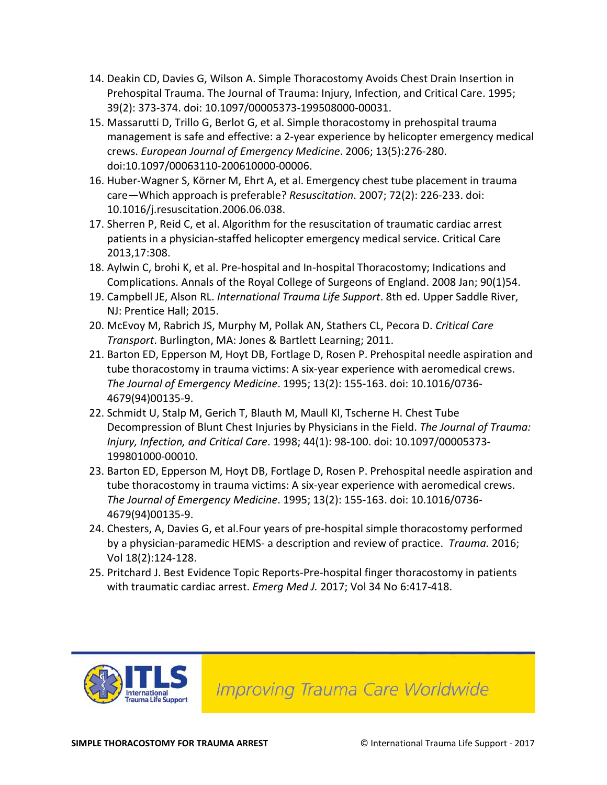- 14. Deakin CD, Davies G, Wilson A. Simple Thoracostomy Avoids Chest Drain Insertion in Prehospital Trauma. The Journal of Trauma: Injury, Infection, and Critical Care. 1995; 39(2): 373-374. doi: 10.1097/00005373-199508000-00031.
- 15. Massarutti D, Trillo G, Berlot G, et al. Simple thoracostomy in prehospital trauma management is safe and effective: a 2-year experience by helicopter emergency medical crews. *European Journal of Emergency Medicine*. 2006; 13(5):276-280. doi:10.1097/00063110-200610000-00006.
- 16. Huber-Wagner S, Körner M, Ehrt A, et al. Emergency chest tube placement in trauma care—Which approach is preferable? *Resuscitation*. 2007; 72(2): 226-233. doi: 10.1016/j.resuscitation.2006.06.038.
- 17. Sherren P, Reid C, et al. Algorithm for the resuscitation of traumatic cardiac arrest patients in a physician-staffed helicopter emergency medical service. Critical Care 2013,17:308.
- 18. Aylwin C, brohi K, et al. Pre-hospital and In-hospital Thoracostomy; Indications and Complications. Annals of the Royal College of Surgeons of England. 2008 Jan; 90(1)54.
- 19. Campbell JE, Alson RL. *International Trauma Life Support*. 8th ed. Upper Saddle River, NJ: Prentice Hall; 2015.
- 20. McEvoy M, Rabrich JS, Murphy M, Pollak AN, Stathers CL, Pecora D. *Critical Care Transport*. Burlington, MA: Jones & Bartlett Learning; 2011.
- 21. Barton ED, Epperson M, Hoyt DB, Fortlage D, Rosen P. Prehospital needle aspiration and tube thoracostomy in trauma victims: A six-year experience with aeromedical crews. *The Journal of Emergency Medicine*. 1995; 13(2): 155-163. doi: 10.1016/0736- 4679(94)00135-9.
- 22. Schmidt U, Stalp M, Gerich T, Blauth M, Maull KI, Tscherne H. Chest Tube Decompression of Blunt Chest Injuries by Physicians in the Field. *The Journal of Trauma: Injury, Infection, and Critical Care*. 1998; 44(1): 98-100. doi: 10.1097/00005373- 199801000-00010.
- 23. Barton ED, Epperson M, Hoyt DB, Fortlage D, Rosen P. Prehospital needle aspiration and tube thoracostomy in trauma victims: A six-year experience with aeromedical crews. *The Journal of Emergency Medicine*. 1995; 13(2): 155-163. doi: 10.1016/0736- 4679(94)00135-9.
- 24. Chesters, A, Davies G, et al.Four years of pre-hospital simple thoracostomy performed by a physician-paramedic HEMS- a description and review of practice. *Trauma.* 2016; Vol 18(2):124-128.
- 25. Pritchard J. Best Evidence Topic Reports-Pre-hospital finger thoracostomy in patients with traumatic cardiac arrest. *Emerg Med J.* 2017; Vol 34 No 6:417-418.